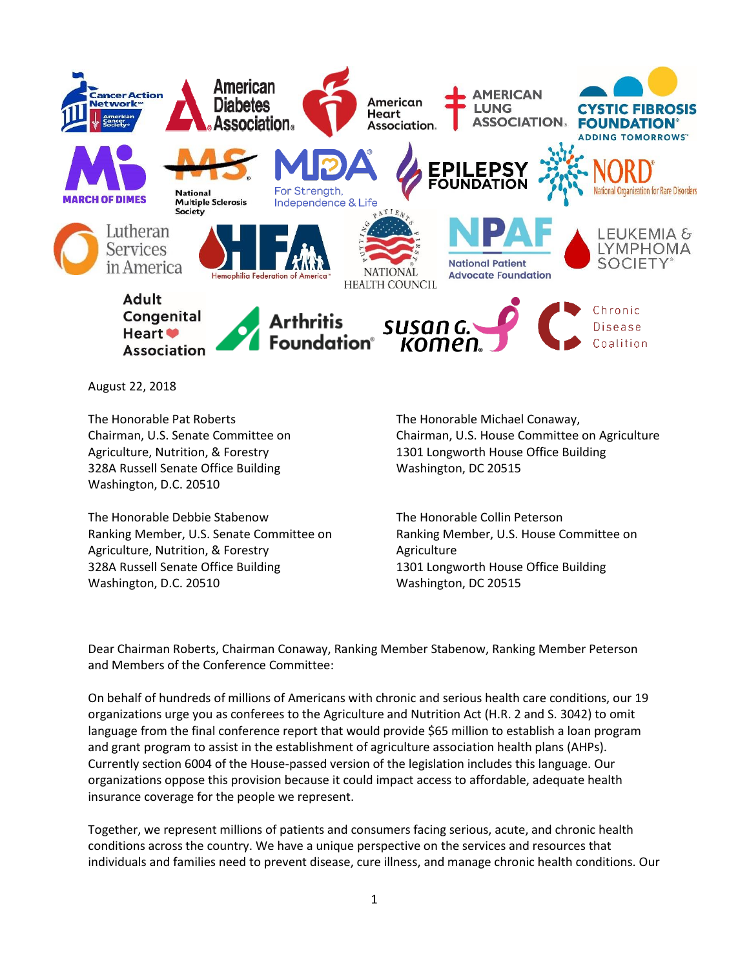

August 22, 2018

The Honorable Pat Roberts Chairman, U.S. Senate Committee on Agriculture, Nutrition, & Forestry 328A Russell Senate Office Building Washington, D.C. 20510

The Honorable Debbie Stabenow Ranking Member, U.S. Senate Committee on Agriculture, Nutrition, & Forestry 328A Russell Senate Office Building Washington, D.C. 20510

The Honorable Michael Conaway, Chairman, U.S. House Committee on Agriculture 1301 Longworth House Office Building Washington, DC 20515

The Honorable Collin Peterson Ranking Member, U.S. House Committee on **Agriculture** 1301 Longworth House Office Building Washington, DC 20515

Dear Chairman Roberts, Chairman Conaway, Ranking Member Stabenow, Ranking Member Peterson and Members of the Conference Committee:

On behalf of hundreds of millions of Americans with chronic and serious health care conditions, our 19 organizations urge you as conferees to the Agriculture and Nutrition Act (H.R. 2 and S. 3042) to omit language from the final conference report that would provide \$65 million to establish a loan program and grant program to assist in the establishment of agriculture association health plans (AHPs). Currently section 6004 of the House-passed version of the legislation includes this language. Our organizations oppose this provision because it could impact access to affordable, adequate health insurance coverage for the people we represent.

Together, we represent millions of patients and consumers facing serious, acute, and chronic health conditions across the country. We have a unique perspective on the services and resources that individuals and families need to prevent disease, cure illness, and manage chronic health conditions. Our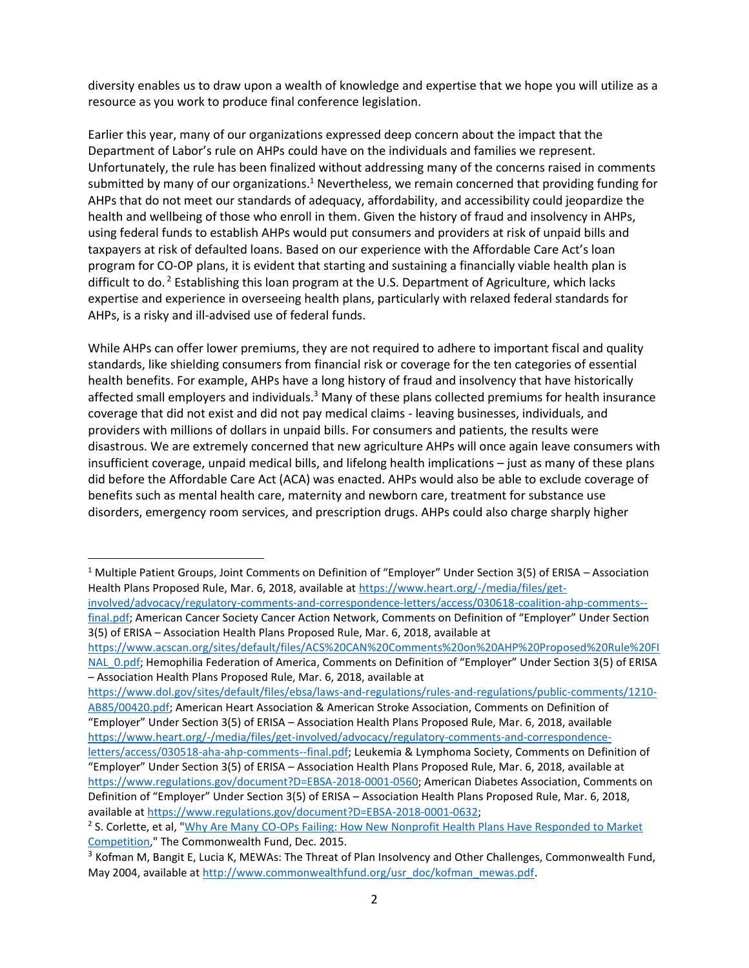diversity enables us to draw upon a wealth of knowledge and expertise that we hope you will utilize as a resource as you work to produce final conference legislation.

Earlier this year, many of our organizations expressed deep concern about the impact that the Department of Labor's rule on AHPs could have on the individuals and families we represent. Unfortunately, the rule has been finalized without addressing many of the concerns raised in comments submitted by many of our organizations.<sup>1</sup> Nevertheless, we remain concerned that providing funding for AHPs that do not meet our standards of adequacy, affordability, and accessibility could jeopardize the health and wellbeing of those who enroll in them. Given the history of fraud and insolvency in AHPs, using federal funds to establish AHPs would put consumers and providers at risk of unpaid bills and taxpayers at risk of defaulted loans. Based on our experience with the Affordable Care Act's loan program for CO-OP plans, it is evident that starting and sustaining a financially viable health plan is difficult to do.<sup>2</sup> Establishing this loan program at the U.S. Department of Agriculture, which lacks expertise and experience in overseeing health plans, particularly with relaxed federal standards for AHPs, is a risky and ill-advised use of federal funds.

While AHPs can offer lower premiums, they are not required to adhere to important fiscal and quality standards, like shielding consumers from financial risk or coverage for the ten categories of essential health benefits. For example, AHPs have a long history of fraud and insolvency that have historically affected small employers and individuals.<sup>3</sup> Many of these plans collected premiums for health insurance coverage that did not exist and did not pay medical claims - leaving businesses, individuals, and providers with millions of dollars in unpaid bills. For consumers and patients, the results were disastrous. We are extremely concerned that new agriculture AHPs will once again leave consumers with insufficient coverage, unpaid medical bills, and lifelong health implications – just as many of these plans did before the Affordable Care Act (ACA) was enacted. AHPs would also be able to exclude coverage of benefits such as mental health care, maternity and newborn care, treatment for substance use disorders, emergency room services, and prescription drugs. AHPs could also charge sharply higher

 $\overline{\phantom{a}}$ 

<sup>1</sup> Multiple Patient Groups, Joint Comments on Definition of "Employer" Under Section 3(5) of ERISA – Association Health Plans Proposed Rule, Mar. 6, 2018, available a[t https://www.heart.org/-/media/files/get](https://www.heart.org/-/media/files/get-involved/advocacy/regulatory-comments-and-correspondence-letters/access/030618-coalition-ahp-comments--final.pdf)[involved/advocacy/regulatory-comments-and-correspondence-letters/access/030618-coalition-ahp-comments--](https://www.heart.org/-/media/files/get-involved/advocacy/regulatory-comments-and-correspondence-letters/access/030618-coalition-ahp-comments--final.pdf)

[final.pdf;](https://www.heart.org/-/media/files/get-involved/advocacy/regulatory-comments-and-correspondence-letters/access/030618-coalition-ahp-comments--final.pdf) American Cancer Society Cancer Action Network, Comments on Definition of "Employer" Under Section 3(5) of ERISA – Association Health Plans Proposed Rule, Mar. 6, 2018, available at

[https://www.acscan.org/sites/default/files/ACS%20CAN%20Comments%20on%20AHP%20Proposed%20Rule%20FI](https://www.acscan.org/sites/default/files/ACS%20CAN%20Comments%20on%20AHP%20Proposed%20Rule%20FINAL_0.pdf) [NAL\\_0.pdf;](https://www.acscan.org/sites/default/files/ACS%20CAN%20Comments%20on%20AHP%20Proposed%20Rule%20FINAL_0.pdf) Hemophilia Federation of America, Comments on Definition of "Employer" Under Section 3(5) of ERISA – Association Health Plans Proposed Rule, Mar. 6, 2018, available at

[https://www.dol.gov/sites/default/files/ebsa/laws-and-regulations/rules-and-regulations/public-comments/1210-](https://www.dol.gov/sites/default/files/ebsa/laws-and-regulations/rules-and-regulations/public-comments/1210-AB85/00420.pdf) [AB85/00420.pdf;](https://www.dol.gov/sites/default/files/ebsa/laws-and-regulations/rules-and-regulations/public-comments/1210-AB85/00420.pdf) American Heart Association & American Stroke Association, Comments on Definition of

<sup>&</sup>quot;Employer" Under Section 3(5) of ERISA – Association Health Plans Proposed Rule, Mar. 6, 2018, available [https://www.heart.org/-/media/files/get-involved/advocacy/regulatory-comments-and-correspondence-](https://www.heart.org/-/media/files/get-involved/advocacy/regulatory-comments-and-correspondence-letters/access/030518-aha-ahp-comments--final.pdf)

[letters/access/030518-aha-ahp-comments--final.pdf;](https://www.heart.org/-/media/files/get-involved/advocacy/regulatory-comments-and-correspondence-letters/access/030518-aha-ahp-comments--final.pdf) Leukemia & Lymphoma Society, Comments on Definition of "Employer" Under Section 3(5) of ERISA – Association Health Plans Proposed Rule, Mar. 6, 2018, available at [https://www.regulations.gov/document?D=EBSA-2018-0001-0560;](https://www.regulations.gov/document?D=EBSA-2018-0001-0560) American Diabetes Association, Comments on Definition of "Employer" Under Section 3(5) of ERISA – Association Health Plans Proposed Rule, Mar. 6, 2018, available a[t https://www.regulations.gov/document?D=EBSA-2018-0001-0632;](https://www.regulations.gov/document?D=EBSA-2018-0001-0632)

<sup>&</sup>lt;sup>2</sup> S. Corlette, et al, "<u>Why Are Many CO-OPs Failing: How New Nonprofit Health Plans Have Responded to Market</u> [Competition,](https://www.commonwealthfund.org/sites/default/files/documents/___media_files_publications_fund_report_2015_dec_1847_corlette_why_are_many_coops_failing.pdf)" The Commonwealth Fund, Dec. 2015.

<sup>&</sup>lt;sup>3</sup> Kofman M, Bangit E, Lucia K, MEWAs: The Threat of Plan Insolvency and Other Challenges, Commonwealth Fund, May 2004, available at [http://www.commonwealthfund.org/usr\\_doc/kofman\\_mewas.pdf.](http://www.commonwealthfund.org/usr_doc/kofman_mewas.pdf)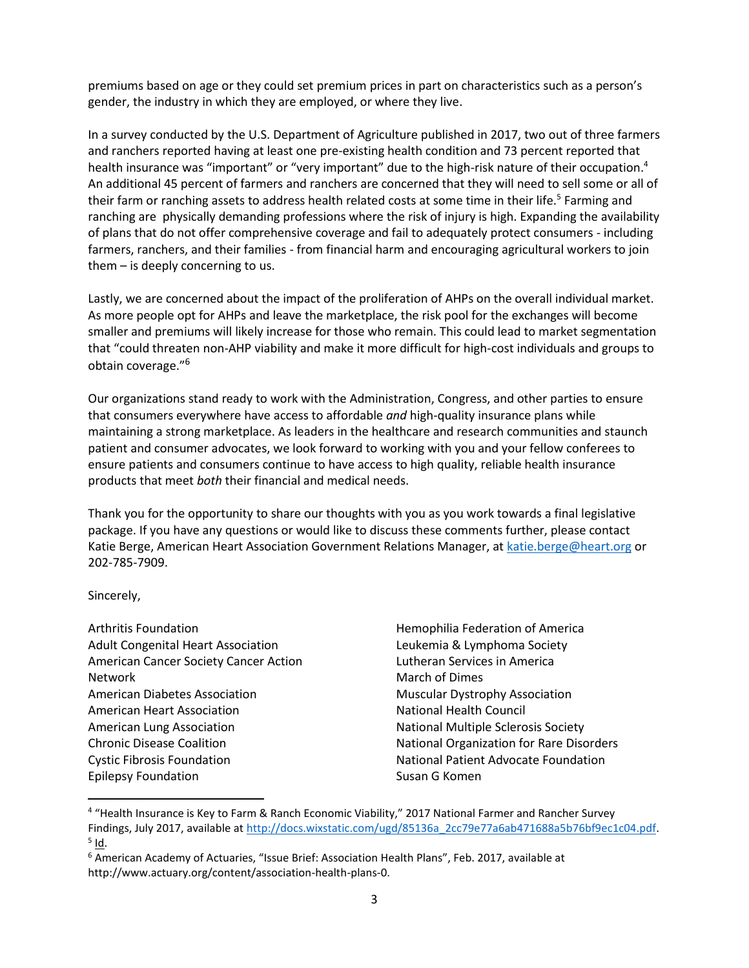premiums based on age or they could set premium prices in part on characteristics such as a person's gender, the industry in which they are employed, or where they live.

In a survey conducted by the U.S. Department of Agriculture published in 2017, two out of three farmers and ranchers reported having at least one pre-existing health condition and 73 percent reported that health insurance was "important" or "very important" due to the high-risk nature of their occupation.<sup>4</sup> An additional 45 percent of farmers and ranchers are concerned that they will need to sell some or all of their farm or ranching assets to address health related costs at some time in their life.<sup>5</sup> Farming and ranching are physically demanding professions where the risk of injury is high. Expanding the availability of plans that do not offer comprehensive coverage and fail to adequately protect consumers - including farmers, ranchers, and their families - from financial harm and encouraging agricultural workers to join them – is deeply concerning to us.

Lastly, we are concerned about the impact of the proliferation of AHPs on the overall individual market. As more people opt for AHPs and leave the marketplace, the risk pool for the exchanges will become smaller and premiums will likely increase for those who remain. This could lead to market segmentation that "could threaten non-AHP viability and make it more difficult for high-cost individuals and groups to obtain coverage."<sup>6</sup>

Our organizations stand ready to work with the Administration, Congress, and other parties to ensure that consumers everywhere have access to affordable *and* high-quality insurance plans while maintaining a strong marketplace. As leaders in the healthcare and research communities and staunch patient and consumer advocates, we look forward to working with you and your fellow conferees to ensure patients and consumers continue to have access to high quality, reliable health insurance products that meet *both* their financial and medical needs.

Thank you for the opportunity to share our thoughts with you as you work towards a final legislative package. If you have any questions or would like to discuss these comments further, please contact Katie Berge, American Heart Association Government Relations Manager, at [katie.berge@heart.org](mailto:katie.berge@heart.org) or 202-785-7909.

Sincerely,

 $\overline{\phantom{a}}$ 

Hemophilia Federation of America Leukemia & Lymphoma Society Lutheran Services in America March of Dimes Muscular Dystrophy Association National Health Council National Multiple Sclerosis Society National Organization for Rare Disorders National Patient Advocate Foundation Susan G Komen

<sup>&</sup>lt;sup>4</sup> "Health Insurance is Key to Farm & Ranch Economic Viability," 2017 National Farmer and Rancher Survey Findings, July 2017, available a[t http://docs.wixstatic.com/ugd/85136a\\_2cc79e77a6ab471688a5b76bf9ec1c04.pdf.](http://docs.wixstatic.com/ugd/85136a_2cc79e77a6ab471688a5b76bf9ec1c04.pdf) <sup>5</sup> <u>Id</u>.

<sup>6</sup> American Academy of Actuaries, "Issue Brief: Association Health Plans", Feb. 2017, available at http://www.actuary.org/content/association-health-plans-0.